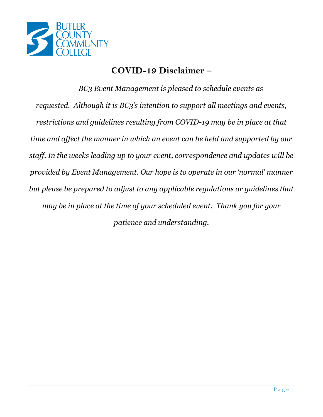

# **COVID-19 Disclaimer –**

*BC3 Event Management is pleased to schedule events as requested. Although it is BC3's intention to support all meetings and events, restrictions and guidelines resulting from COVID-19 may be in place at that time and affect the manner in which an event can be held and supported by our staff. In the weeks leading up to your event, correspondence and updates will be provided by Event Management. Our hope is to operate in our 'normal' manner but please be prepared to adjust to any applicable regulations or guidelines that may be in place at the time of your scheduled event. Thank you for your patience and understanding.*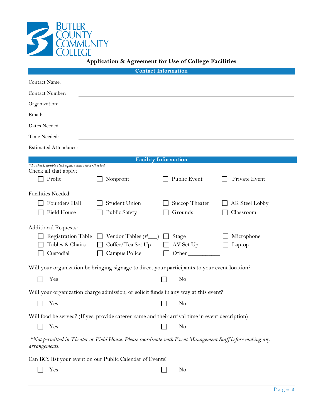

| <b>Contact Information</b>                                                                                                 |                                    |           |                             |                      |  |  |  |  |
|----------------------------------------------------------------------------------------------------------------------------|------------------------------------|-----------|-----------------------------|----------------------|--|--|--|--|
| Contact Name:                                                                                                              |                                    |           |                             |                      |  |  |  |  |
| Contact Number:                                                                                                            |                                    |           |                             |                      |  |  |  |  |
| Organization:                                                                                                              |                                    |           |                             |                      |  |  |  |  |
| Email:                                                                                                                     |                                    |           |                             |                      |  |  |  |  |
| Dates Needed:                                                                                                              |                                    |           |                             |                      |  |  |  |  |
| Time Needed:                                                                                                               |                                    |           |                             |                      |  |  |  |  |
| <b>Estimated Attendance:</b>                                                                                               |                                    |           |                             |                      |  |  |  |  |
| <b>Facility Information</b>                                                                                                |                                    |           |                             |                      |  |  |  |  |
| *To check, double click square and select Checked<br>Check all that apply:                                                 |                                    |           |                             |                      |  |  |  |  |
| Profit                                                                                                                     | Nonprofit                          |           | Public Event                | Private Event        |  |  |  |  |
| Facilities Needed:                                                                                                         |                                    |           |                             |                      |  |  |  |  |
| Founders Hall                                                                                                              | <b>Student Union</b>               |           | Succop Theater              | AK Steel Lobby       |  |  |  |  |
| Field House                                                                                                                | <b>Public Safety</b>               |           | Grounds                     | Classroom            |  |  |  |  |
| <b>Additional Requests:</b><br><b>Registration Table</b><br>Tables & Chairs<br>Custodial                                   | Coffee/Tea Set Up<br>Campus Police |           | Stage<br>AV Set Up<br>Other | Microphone<br>Laptop |  |  |  |  |
| Will your organization be bringing signage to direct your participants to your event location?                             |                                    |           |                             |                      |  |  |  |  |
| Yes                                                                                                                        |                                    |           | No                          |                      |  |  |  |  |
| Will your organization charge admission, or solicit funds in any way at this event?                                        |                                    |           |                             |                      |  |  |  |  |
| $\Box$ Yes                                                                                                                 |                                    | $\Box$ No |                             |                      |  |  |  |  |
| Will food be served? (If yes, provide caterer name and their arrival time in event description)                            |                                    |           |                             |                      |  |  |  |  |
| Yes                                                                                                                        |                                    |           | No                          |                      |  |  |  |  |
| *Not permitted in Theater or Field House. Please coordinate with Event Management Staff before making any<br>arrangements. |                                    |           |                             |                      |  |  |  |  |
| Can BC3 list your event on our Public Calendar of Events?                                                                  |                                    |           |                             |                      |  |  |  |  |
| Yes                                                                                                                        |                                    |           | No                          |                      |  |  |  |  |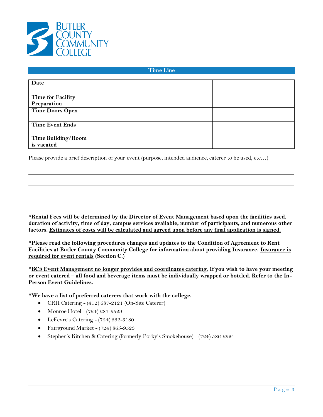

#### **Time Line**

| Date                      |  |  |  |
|---------------------------|--|--|--|
|                           |  |  |  |
|                           |  |  |  |
| <b>Time for Facility</b>  |  |  |  |
| Preparation               |  |  |  |
| <b>Time Doors Open</b>    |  |  |  |
|                           |  |  |  |
| <b>Time Event Ends</b>    |  |  |  |
|                           |  |  |  |
| <b>Time Building/Room</b> |  |  |  |
| is vacated                |  |  |  |

Please provide a brief description of your event (purpose, intended audience, caterer to be used, etc…)

**\*Rental Fees will be determined by the Director of Event Management based upon the facilities used, duration of activity, time of day, campus services available, number of participants, and numerous other factors. Estimates of costs will be calculated and agreed upon before any final application is signed.**

**\*Please read the following procedures changes and updates to the Condition of Agreement to Rent Facilities at Butler County Community College for information about providing Insurance. Insurance is required for event rentals (Section C.)**

**\*BC3 Event Management no longer provides and coordinates catering. If you wish to have your meeting or event catered – all food and beverage items must be individually wrapped or bottled. Refer to the In-Person Event Guidelines.** 

**\*We have a list of preferred caterers that work with the college.** 

- CRH Catering (412) 687-2121 (On-Site Caterer)
- Monroe Hotel (724) 287-5529
- LeFevre's Catering (724) 352-3180
- Fairground Market [\(724\) 865-9523](https://www.google.com/search?ei=vdFwWvm3IILczwL2-rbQAQ&q=fairground+market&oq=fairground+maket&gs_l=psy-ab.1.0.35i39k1j0i13k1l8j0i13i30k1.3116.3275.0.5386.2.2.0.0.0.0.79.149.2.2.0....0...1.1.64.psy-ab..0.2.149...0i22i30k1.0.Zkxna0fS26A)
- Stephen's Kitchen & Catering (formerly Porky's Smokehouse) (724) 586-2924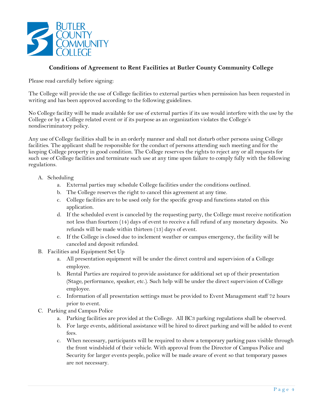

# **Conditions of Agreement to Rent Facilities at Butler County Community College**

Please read carefully before signing:

The College will provide the use of College facilities to external parties when permission has been requested in writing and has been approved according to the following guidelines.

No College facility will be made available for use of external parties if its use would interfere with the use by the College or by a College related event or if its purpose as an organization violates the College's nondiscriminatory policy.

Any use of College facilities shall be in an orderly manner and shall not disturb other persons using College facilities. The applicant shall be responsible for the conduct of persons attending such meeting and for the keeping College property in good condition. The College reserves the rights to reject any or all requests for such use of College facilities and terminate such use at any time upon failure to comply fully with the following regulations.

- A. Scheduling
	- a. External parties may schedule College facilities under the conditions outlined.
	- b. The College reserves the right to cancel this agreement at any time.
	- c. College facilities are to be used only for the specific group and functions stated on this application.
	- d. If the scheduled event is canceled by the requesting party, the College must receive notification not less than fourteen (14) days of event to receive a full refund of any monetary deposits. No refunds will be made within thirteen (13) days of event.
	- e. If the College is closed due to inclement weather or campus emergency, the facility will be canceled and deposit refunded.
- B. Facilities and Equipment Set Up
	- a. All presentation equipment will be under the direct control and supervision of a College employee.
	- b. Rental Parties are required to provide assistance for additional set up of their presentation (Stage, performance, speaker, etc.). Such help will be under the direct supervision of College employee.
	- c. Information of all presentation settings must be provided to Event Management staff 72 hours prior to event.
- C. Parking and Campus Police
	- a. Parking facilities are provided at the College. All BC3 parking regulations shall be observed.
	- b. For large events, additional assistance will be hired to direct parking and will be added to event fees.
	- c. When necessary, participants will be required to show a temporary parking pass visible through the front windshield of their vehicle. With approval from the Director of Campus Police and Security for larger events people, police will be made aware of event so that temporary passes are not necessary.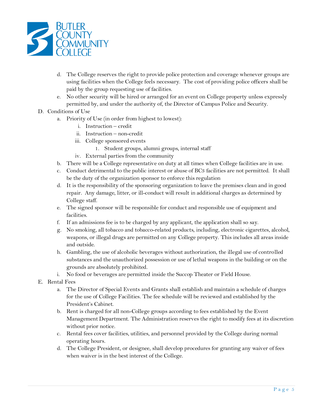

- d. The College reserves the right to provide police protection and coverage whenever groups are using facilities when the College feels necessary. The cost of providing police officers shall be paid by the group requesting use of facilities.
- e. No other security will be hired or arranged for an event on College property unless expressly permitted by, and under the authority of, the Director of Campus Police and Security.
- D. Conditions of Use
	- a. Priority of Use (in order from highest to lowest):
		- i. Instruction credit
		- ii. Instruction non-credit
		- iii. College sponsored events
			- 1. Student groups, alumni groups, internal staff
		- iv. External parties from the community
	- b. There will be a College representative on duty at all times when College facilities are in use.
	- c. Conduct detrimental to the public interest or abuse of BC3 facilities are not permitted. It shall be the duty of the organization sponsor to enforce this regulation
	- d. It is the responsibility of the sponsoring organization to leave the premises clean and in good repair. Any damage, litter, or ill-conduct will result in additional charges as determined by College staff.
	- e. The signed sponsor will be responsible for conduct and responsible use of equipment and facilities.
	- f. If an admissions fee is to be charged by any applicant, the application shall so say.
	- g. No smoking, all tobacco and tobacco-related products, including, electronic cigarettes, alcohol, weapons, or illegal drugs are permitted on any College property. This includes all areas inside and outside.
	- h. Gambling, the use of alcoholic beverages without authorization, the illegal use of controlled substances and the unauthorized possession or use of lethal weapons in the building or on the grounds are absolutely prohibited.
	- i. No food or beverages are permitted inside the Succop Theater or Field House.
- E. Rental Fees
	- a. The Director of Special Events and Grants shall establish and maintain a schedule of charges for the use of College Facilities. The fee schedule will be reviewed and established by the President's Cabinet.
	- b. Rent is charged for all non-College groups according to fees established by the Event Management Department. The Administration reserves the right to modify fees at its discretion without prior notice.
	- c. Rental fees cover facilities, utilities, and personnel provided by the College during normal operating hours.
	- d. The College President, or designee, shall develop procedures for granting any waiver of fees when waiver is in the best interest of the College.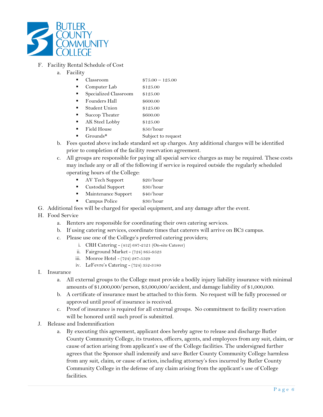

## F. Facility Rental Schedule of Cost

- a. Facility
	- Classroom \$75.00 125.00
	- Computer Lab \$125.00
	- Specialized Classroom \$125.00
	- Founders Hall \$600.00
	- Student Union \$125.00
	- Succop Theater \$600.00
	- AK Steel Lobby \$125.00
	- Field House \$50/hour
	- Grounds\* Subject to request
- b. Fees quoted above include standard set up charges. Any additional charges will be identified prior to completion of the facility reservation agreement.
- c. All groups are responsible for paying all special service charges as may be required. These costs may include any or all of the following if service is required outside the regularly scheduled operating hours of the College:
	- AV Tech Support \$20/hour
	- Custodial Support \$30/hour
	- **Maintenance Support \$40/hour**
	- Campus Police \$30/hour
- G. Additional fees will be charged for special equipment, and any damage after the event.

#### H. Food Service

- a. Renters are responsible for coordinating their own catering services.
- b. If using catering services, coordinate times that caterers will arrive on BC3 campus.
- c. Please use one of the College's preferred catering providers;
	- i. CRH Catering (412) 687-2121 (On-site Caterer)
	- ii. Fairground Market [\(724\) 865-9523](https://www.google.com/search?ei=vdFwWvm3IILczwL2-rbQAQ&q=fairground+market&oq=fairground+maket&gs_l=psy-ab.1.0.35i39k1j0i13k1l8j0i13i30k1.3116.3275.0.5386.2.2.0.0.0.0.79.149.2.2.0....0...1.1.64.psy-ab..0.2.149...0i22i30k1.0.Zkxna0fS26A)
	- iii. Monroe Hotel (724) 287-5529
	- iv. LeFevre's Catering (724) 352-3180
- I. Insurance
	- a. All external groups to the College must provide a bodily injury liability insurance with minimal amounts of \$1,000,000/person, \$3,000,000/accident, and damage liability of \$1,000,000.
	- b. A certificate of insurance must be attached to this form. No request will be fully processed or approved until proof of insurance is received.
	- c. Proof of insurance is required for all external groups. No commitment to facility reservation will be honored until such proof is submitted.
- J. Release and Indemnification
	- a. By executing this agreement, applicant does hereby agree to release and discharge Butler County Community College, its trustees, officers, agents, and employees from any suit, claim, or cause of action arising from applicant's use of the College facilities. The undersigned further agrees that the Sponsor shall indemnify and save Butler County Community College harmless from any suit, claim, or cause of action, including attorney's fees incurred by Butler County Community College in the defense of any claim arising from the applicant's use of College facilities.